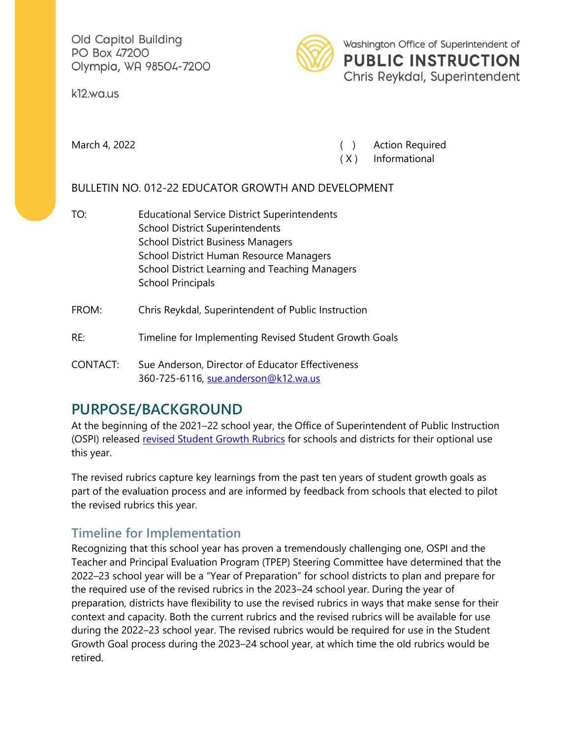Old Capitol Building PO Box 47200 Olympia, WA 98504-7200

k12.wa.us



Washington Office of Superintendent of **PUBLIC INSTRUCTION** Chris Reykdal, Superintendent

March 4, 2022 **March 4, 2022 Contract Contract Contract Contract Contract Contract Contract Contract Contract Contract Contract Contract Contract Contract Contract Contract Contract Contract Contract Contract Contract Co** 

( X ) Informational

#### BULLETIN NO. 012-22 EDUCATOR GROWTH AND DEVELOPMENT

- TO: Educational Service District Superintendents School District Superintendents School District Business Managers School District Human Resource Managers School District Learning and Teaching Managers School Principals
- FROM: Chris Reykdal, Superintendent of Public Instruction
- RE: Timeline for Implementing Revised Student Growth Goals
- CONTACT: Sue Anderson, Director of Educator Effectiveness 360-725-6116, [sue.anderson@k12.wa.us](mailto:sue.anderson@k12.wa.us)

## **PURPOSE/BACKGROUND**

At the beginning of the 2021–22 school year, the Office of Superintendent of Public Instruction (OSPI) released [revised Student Growth Rubrics](https://www.k12.wa.us/sites/default/files/public/tpep/studentgrowth/Student%20Growth%20-%2021-22%20Rubrics.pdf) for schools and districts for their optional use this year.

The revised rubrics capture key learnings from the past ten years of student growth goals as part of the evaluation process and are informed by feedback from schools that elected to pilot the revised rubrics this year.

## **Timeline for Implementation**

Recognizing that this school year has proven a tremendously challenging one, OSPI and the Teacher and Principal Evaluation Program (TPEP) Steering Committee have determined that the 2022–23 school year will be a "Year of Preparation" for school districts to plan and prepare for the required use of the revised rubrics in the 2023–24 school year. During the year of preparation, districts have flexibility to use the revised rubrics in ways that make sense for their context and capacity. Both the current rubrics and the revised rubrics will be available for use during the 2022–23 school year. The revised rubrics would be required for use in the Student Growth Goal process during the 2023–24 school year, at which time the old rubrics would be retired.